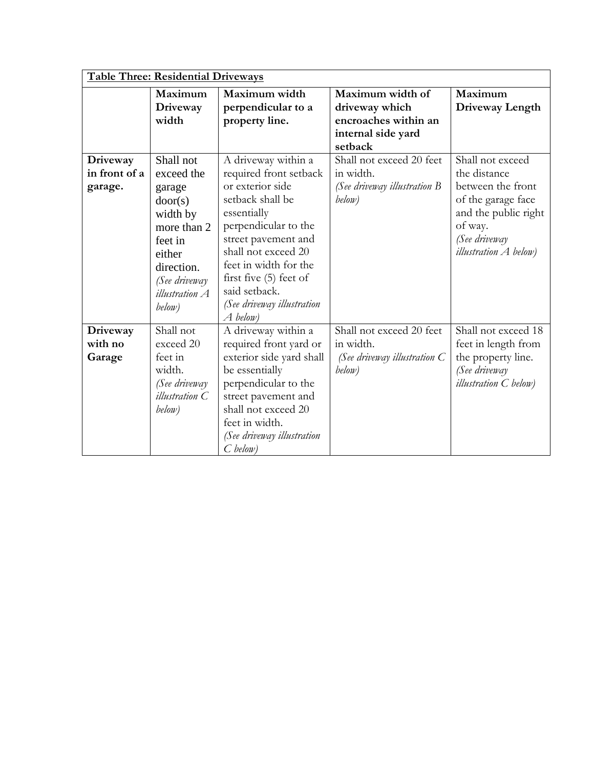| <b>Table Three: Residential Driveways</b> |                                                                                                                                                         |                                                                                                                                                                                                                                                                                              |                                                                                             |                                                                                                                                                                 |
|-------------------------------------------|---------------------------------------------------------------------------------------------------------------------------------------------------------|----------------------------------------------------------------------------------------------------------------------------------------------------------------------------------------------------------------------------------------------------------------------------------------------|---------------------------------------------------------------------------------------------|-----------------------------------------------------------------------------------------------------------------------------------------------------------------|
|                                           | Maximum<br>Driveway<br>width                                                                                                                            | Maximum width<br>perpendicular to a<br>property line.                                                                                                                                                                                                                                        | Maximum width of<br>driveway which<br>encroaches within an<br>internal side yard<br>setback | Maximum<br>Driveway Length                                                                                                                                      |
| Driveway<br>in front of a<br>garage.      | Shall not<br>exceed the<br>garage<br>door(s)<br>width by<br>more than 2<br>feet in<br>either<br>direction.<br>(See driveway<br>illustration A<br>below) | A driveway within a<br>required front setback<br>or exterior side<br>setback shall be<br>essentially<br>perpendicular to the<br>street pavement and<br>shall not exceed 20<br>feet in width for the<br>first five $(5)$ feet of<br>said setback.<br>(See driveway illustration<br>$A$ below) | Shall not exceed 20 feet<br>in width.<br>(See driveway illustration B<br>below)             | Shall not exceed<br>the distance<br>between the front<br>of the garage face<br>and the public right<br>of way.<br>(See driveway<br><i>illustration A</i> below) |
| Driveway<br>with no<br>Garage             | Shall not<br>exceed 20<br>feet in<br>width.<br>(See driveway<br>illustration C<br>below)                                                                | A driveway within a<br>required front yard or<br>exterior side yard shall<br>be essentially<br>perpendicular to the<br>street pavement and<br>shall not exceed 20<br>feet in width.<br>(See driveway illustration<br>$C$ below)                                                              | Shall not exceed 20 feet<br>in width.<br>(See driveway illustration $C$<br>below)           | Shall not exceed 18<br>feet in length from<br>the property line.<br>(See driveway<br><i>illustration</i> C below)                                               |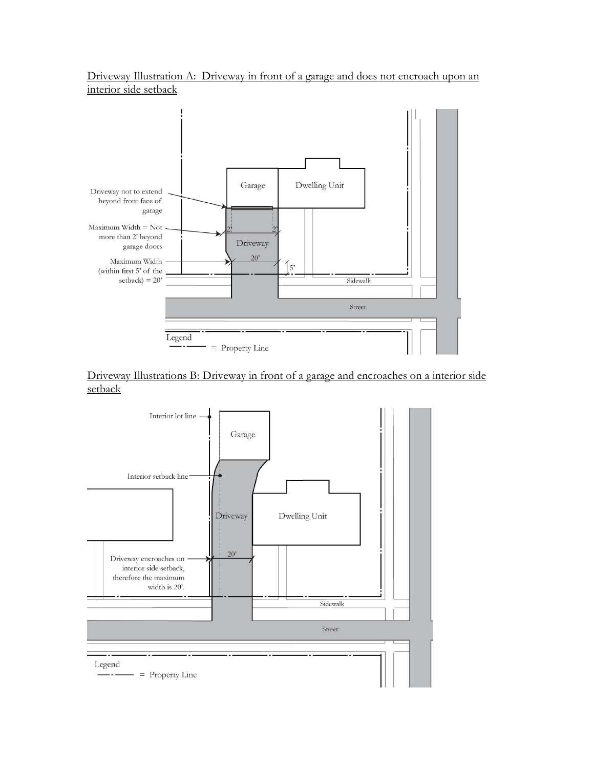Driveway Illustration A: Driveway in front of a garage and does not encroach upon an interior side setback



Driveway Illustrations B: Driveway in front of a garage and encroaches on a interior side setback